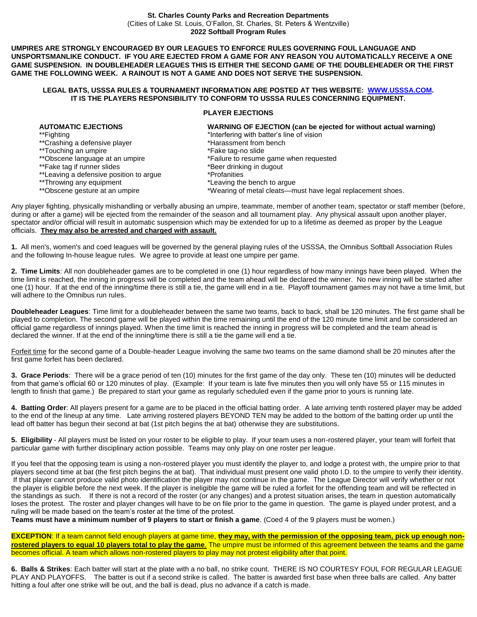## **St. Charles County Parks and Recreation Departments** (Cities of Lake St. Louis, O'Fallon, St. Charles, St. Peters & Wentzville) **2022 Softball Program Rules**

**UMPIRES ARE STRONGLY ENCOURAGED BY OUR LEAGUES TO ENFORCE RULES GOVERNING FOUL LANGUAGE AND UNSPORTSMANLIKE CONDUCT. IF YOU ARE EJECTED FROM A GAME FOR ANY REASON YOU AUTOMATICALLY RECEIVE A ONE GAME SUSPENSION. IN DOUBLEHEADER LEAGUES THIS IS EITHER THE SECOND GAME OF THE DOUBLEHEADER OR THE FIRST GAME THE FOLLOWING WEEK. A RAINOUT IS NOT A GAME AND DOES NOT SERVE THE SUSPENSION.**

## **LEGAL BATS, USSSA RULES & TOURNAMENT INFORMATION ARE POSTED AT THIS WEBSITE: [WWW.USSSA.COM.](http://www.usssa.com/) IT IS THE PLAYERS RESPONSIBILITY TO CONFORM TO USSSA RULES CONCERNING EQUIPMENT.**

## **PLAYER EJECTIONS**

| <b>AUTOMATIC EJECTIONS</b>              | WARNING OF EJECTION (can be ejected for without actual warning) |
|-----------------------------------------|-----------------------------------------------------------------|
| **Fighting                              | *Interfering with batter's line of vision                       |
| **Crashing a defensive player           | *Harassment from bench                                          |
| **Touching an umpire                    | *Fake tag-no slide                                              |
| **Obscene language at an umpire         | *Failure to resume game when requested                          |
| **Fake tag if runner slides             | *Beer drinking in dugout                                        |
| **Leaving a defensive position to argue | *Profanities                                                    |
| **Throwing any equipment                | *Leaving the bench to argue                                     |
| **Obscene gesture at an umpire          | *Wearing of metal cleats—must have legal replacement shoes.     |
|                                         |                                                                 |
|                                         |                                                                 |

Any player fighting, physically mishandling or verbally abusing an umpire, teammate, member of another team, spectator or staff member (before, during or after a game) will be ejected from the remainder of the season and all tournament play. Any physical assault upon another player, spectator and/or official will result in automatic suspension which may be extended for up to a lifetime as deemed as proper by the League officials. **They may also be arrested and charged with assault.**

**1.** All men's, women's and coed leagues will be governed by the general playing rules of the USSSA, the Omnibus Softball Association Rules and the following In-house league rules. We agree to provide at least one umpire per game.

**2. Time Limits**: All non doubleheader games are to be completed in one (1) hour regardless of how many innings have been played. When the time limit is reached, the inning in progress will be completed and the team ahead will be declared the winner. No new inning will be started after one (1) hour. If at the end of the inning/time there is still a tie, the game will end in a tie. Playoff tournament games may not have a time limit, but will adhere to the Omnibus run rules.

**Doubleheader Leagues**: Time limit for a doubleheader between the same two teams, back to back, shall be 120 minutes. The first game shall be played to completion. The second game will be played within the time remaining until the end of the 120 minute time limit and be considered an official game regardless of innings played. When the time limit is reached the inning in progress will be completed and the team ahead is declared the winner. If at the end of the inning/time there is still a tie the game will end a tie.

Forfeit time for the second game of a Double-header League involving the same two teams on the same diamond shall be 20 minutes after the first game forfeit has been declared.

**3. Grace Periods**: There will be a grace period of ten (10) minutes for the first game of the day only. These ten (10) minutes will be deducted from that game's official 60 or 120 minutes of play. (Example: If your team is late five minutes then you will only have 55 or 115 minutes in length to finish that game.) Be prepared to start your game as regularly scheduled even if the game prior to yours is running late.

**4. Batting Order**: All players present for a game are to be placed in the official batting order. A late arriving tenth rostered player may be added to the end of the lineup at any time. Late arriving rostered players BEYOND TEN may be added to the bottom of the batting order up until the lead off batter has begun their second at bat (1st pitch begins the at bat) otherwise they are substitutions.

**5. Eligibility** - All players must be listed on your roster to be eligible to play. If your team uses a non-rostered player, your team will forfeit that particular game with further disciplinary action possible. Teams may only play on one roster per league.

If you feel that the opposing team is using a non-rostered player you must identify the player to, and lodge a protest with, the umpire prior to that players second time at bat (the first pitch begins the at bat). That individual must present one valid photo I.D. to the umpire to verify their identity. If that player cannot produce valid photo identification the player may not continue in the game. The League Director will verify whether or not the player is eligible before the next week. If the player is ineligible the game will be ruled a forfeit for the offending team and will be reflected in the standings as such. If there is not a record of the roster (or any changes) and a protest situation arises, the team in question automatically loses the protest. The roster and player changes will have to be on file prior to the game in question. The game is played under protest, and a ruling will be made based on the team's roster at the time of the protest.

**Teams must have a minimum number of 9 players to start or finish a game**. (Coed 4 of the 9 players must be women.)

**EXCEPTION**: If a team cannot field enough players at game time, **they may, with the permission of the opposing team, pick up enough nonrostered players to equal 10 players total to play the game**. The umpire must be informed of this agreement between the teams and the game becomes official. A team which allows non-rostered players to play may not protest eligibility after that point.

**6. Balls & Strikes**: Each batter will start at the plate with a no ball, no strike count. THERE IS NO COURTESY FOUL FOR REGULAR LEAGUE PLAY AND PLAYOFFS. The batter is out if a second strike is called. The batter is awarded first base when three balls are called. Any batter hitting a foul after one strike will be out, and the ball is dead, plus no advance if a catch is made.